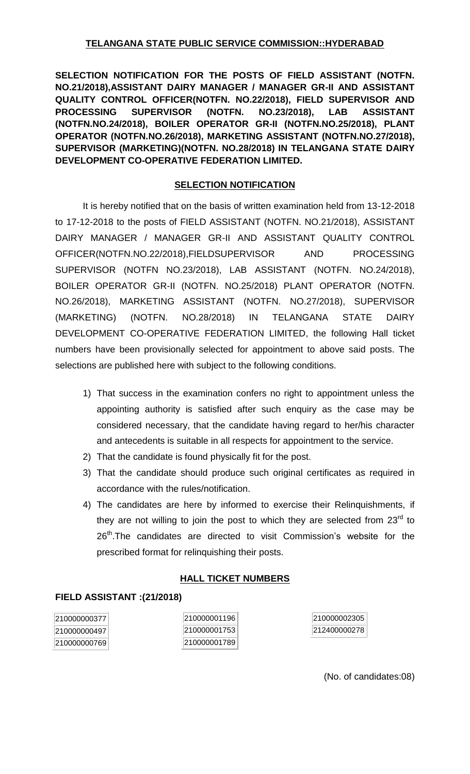# **TELANGANA STATE PUBLIC SERVICE COMMISSION::HYDERABAD**

**SELECTION NOTIFICATION FOR THE POSTS OF FIELD ASSISTANT (NOTFN. NO.21/2018),ASSISTANT DAIRY MANAGER / MANAGER GR-II AND ASSISTANT QUALITY CONTROL OFFICER(NOTFN. NO.22/2018), FIELD SUPERVISOR AND PROCESSING SUPERVISOR (NOTFN. NO.23/2018), LAB ASSISTANT (NOTFN.NO.24/2018), BOILER OPERATOR GR-II (NOTFN.NO.25/2018), PLANT OPERATOR (NOTFN.NO.26/2018), MARKETING ASSISTANT (NOTFN.NO.27/2018), SUPERVISOR (MARKETING)(NOTFN. NO.28/2018) IN TELANGANA STATE DAIRY DEVELOPMENT CO-OPERATIVE FEDERATION LIMITED.**

## **SELECTION NOTIFICATION**

It is hereby notified that on the basis of written examination held from 13-12-2018 to 17-12-2018 to the posts of FIELD ASSISTANT (NOTFN. NO.21/2018), ASSISTANT DAIRY MANAGER / MANAGER GR-II AND ASSISTANT QUALITY CONTROL OFFICER(NOTFN.NO.22/2018),FIELDSUPERVISOR AND PROCESSING SUPERVISOR (NOTFN NO.23/2018), LAB ASSISTANT (NOTFN. NO.24/2018), BOILER OPERATOR GR-II (NOTFN. NO.25/2018) PLANT OPERATOR (NOTFN. NO.26/2018), MARKETING ASSISTANT (NOTFN. NO.27/2018), SUPERVISOR (MARKETING) (NOTFN. NO.28/2018) IN TELANGANA STATE DAIRY DEVELOPMENT CO-OPERATIVE FEDERATION LIMITED, the following Hall ticket numbers have been provisionally selected for appointment to above said posts. The selections are published here with subject to the following conditions.

- 1) That success in the examination confers no right to appointment unless the appointing authority is satisfied after such enquiry as the case may be considered necessary, that the candidate having regard to her/his character and antecedents is suitable in all respects for appointment to the service.
- 2) That the candidate is found physically fit for the post.
- 3) That the candidate should produce such original certificates as required in accordance with the rules/notification.
- 4) The candidates are here by informed to exercise their Relinquishments, if they are not willing to join the post to which they are selected from  $23<sup>rd</sup>$  to 26<sup>th</sup>. The candidates are directed to visit Commission's website for the prescribed format for relinquishing their posts.

### **HALL TICKET NUMBERS**

### **FIELD ASSISTANT :(21/2018)**

210000000377 210000000497 210000000769

210000001196 210000001753 210000001789 210000002305 212400000278

(No. of candidates:08)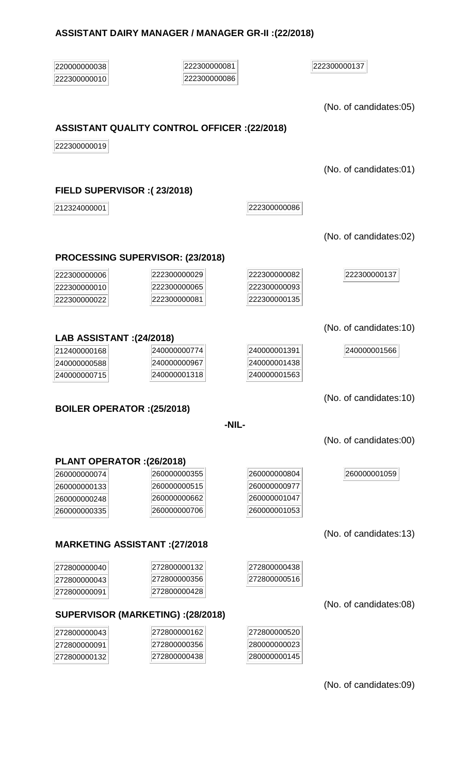#### **ASSISTANT DAIRY MANAGER / MANAGER GR-II :(22/2018)**

  (No. of candidates:05)

#### **ASSISTANT QUALITY CONTROL OFFICER :(22/2018)**

(No. of candidates:01)

#### **FIELD SUPERVISOR :( 23/2018)**

222300000086

(No. of candidates:02)

#### **PROCESSING SUPERVISOR: (23/2018)**

| 222300000006 | 222300000029 | 222300000082 |
|--------------|--------------|--------------|
| 222300000010 | 222300000065 | 222300000093 |
| 222300000022 | 222300000081 | 222300000135 |

# **LAB ASSISTANT :(24/2018)**

| 212400000168 | 240000000774 | 240000001391 | 240000001566 |
|--------------|--------------|--------------|--------------|
| 240000000588 | 240000000967 | 240000001438 |              |
| 240000000715 | 240000001318 | 240000001563 |              |

### **BOILER OPERATOR :(25/2018)**

#### **-NIL-**

(No. of candidates:00)

#### **PLANT OPERATOR :(26/2018)**

| <b>∟∪∪∪∪∪∪∪ ⊤</b> | -----------  | -----------  |
|-------------------|--------------|--------------|
| 260000000133      | 260000000515 | 260000000977 |
| 260000000248      | 260000000662 | 260000001047 |
| 260000000335      | 260000000706 | 260000001053 |

### **MARKETING ASSISTANT :(27/2018**

| 272800000040 | 272800000132 | 272800000438 |
|--------------|--------------|--------------|
| 272800000043 | 272800000356 | 272800000516 |
| 272800000091 | 272800000428 |              |

### **SUPERVISOR (MARKETING) :(28/2018)**

| 272800000043 | 272800000162 | 272800000520 |
|--------------|--------------|--------------|
| 272800000091 | 272800000356 | 280000000023 |
| 272800000132 | 272800000438 | 280000000145 |

(No. of candidates:09)

(No. of candidates:10)

(No. of candidates:10)

(No. of candidates:13)

(No. of candidates:08)